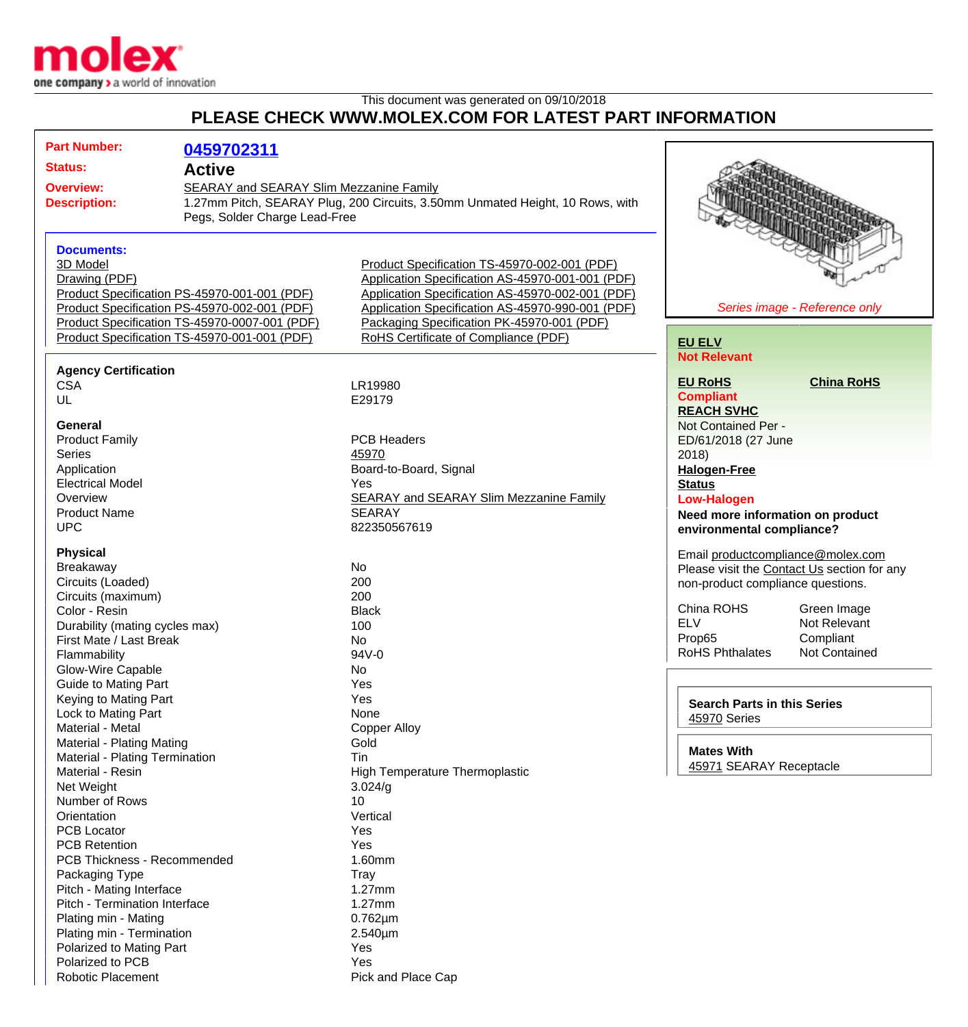

## This document was generated on 09/10/2018 **PLEASE CHECK WWW.MOLEX.COM FOR LATEST PART INFORMATION**

| <b>Part Number:</b>                                                | 0459702311                                   |                                                                               |                                             |
|--------------------------------------------------------------------|----------------------------------------------|-------------------------------------------------------------------------------|---------------------------------------------|
| <b>Status:</b><br><b>Active</b>                                    |                                              |                                                                               |                                             |
| <b>Overview:</b><br><b>SEARAY and SEARAY Slim Mezzanine Family</b> |                                              |                                                                               |                                             |
| <b>Description:</b><br>Pegs, Solder Charge Lead-Free               |                                              | 1.27mm Pitch, SEARAY Plug, 200 Circuits, 3.50mm Unmated Height, 10 Rows, with |                                             |
|                                                                    |                                              |                                                                               |                                             |
|                                                                    |                                              |                                                                               |                                             |
| <b>Documents:</b>                                                  |                                              |                                                                               |                                             |
| 3D Model                                                           |                                              | Product Specification TS-45970-002-001 (PDF)                                  |                                             |
| Drawing (PDF)                                                      |                                              | Application Specification AS-45970-001-001 (PDF)                              |                                             |
| Product Specification PS-45970-001-001 (PDF)                       |                                              | Application Specification AS-45970-002-001 (PDF)                              |                                             |
| Product Specification PS-45970-002-001 (PDF)                       |                                              | Application Specification AS-45970-990-001 (PDF)                              | Series image - Reference only               |
| Product Specification TS-45970-0007-001 (PDF)                      |                                              | Packaging Specification PK-45970-001 (PDF)                                    |                                             |
|                                                                    | Product Specification TS-45970-001-001 (PDF) | RoHS Certificate of Compliance (PDF)                                          | <b>EU ELV</b>                               |
|                                                                    |                                              |                                                                               | <b>Not Relevant</b>                         |
| <b>Agency Certification</b>                                        |                                              |                                                                               |                                             |
| <b>CSA</b>                                                         |                                              | LR19980                                                                       | <b>EU RoHS</b><br><b>China RoHS</b>         |
| UL                                                                 |                                              | E29179                                                                        | <b>Compliant</b>                            |
|                                                                    |                                              |                                                                               | <b>REACH SVHC</b>                           |
| General                                                            |                                              |                                                                               | Not Contained Per -                         |
| <b>Product Family</b>                                              |                                              | <b>PCB Headers</b>                                                            | ED/61/2018 (27 June                         |
| <b>Series</b>                                                      |                                              | 45970                                                                         | 2018)                                       |
| Application                                                        |                                              | Board-to-Board, Signal                                                        | <b>Halogen-Free</b>                         |
| <b>Electrical Model</b>                                            |                                              | Yes                                                                           | <b>Status</b>                               |
| Overview                                                           |                                              | <b>SEARAY and SEARAY Slim Mezzanine Family</b>                                | <b>Low-Halogen</b>                          |
| <b>Product Name</b>                                                |                                              | <b>SEARAY</b>                                                                 | Need more information on product            |
| <b>UPC</b>                                                         |                                              | 822350567619                                                                  | environmental compliance?                   |
| <b>Physical</b>                                                    |                                              |                                                                               | Email productcompliance@molex.com           |
| Breakaway                                                          |                                              | No                                                                            | Please visit the Contact Us section for any |
| Circuits (Loaded)                                                  |                                              | 200                                                                           | non-product compliance questions.           |
| Circuits (maximum)                                                 |                                              | 200                                                                           |                                             |
| Color - Resin                                                      |                                              | <b>Black</b>                                                                  | China ROHS<br>Green Image                   |
| Durability (mating cycles max)                                     |                                              | 100                                                                           | <b>ELV</b><br>Not Relevant                  |
| First Mate / Last Break                                            |                                              | No                                                                            | Compliant<br>Prop65                         |
| Flammability                                                       |                                              | 94V-0                                                                         | <b>RoHS Phthalates</b><br>Not Contained     |
| Glow-Wire Capable                                                  |                                              | No                                                                            |                                             |
| <b>Guide to Mating Part</b>                                        |                                              | Yes                                                                           |                                             |
| Keying to Mating Part                                              |                                              | Yes                                                                           | <b>Search Parts in this Series</b>          |
| Lock to Mating Part                                                |                                              | None                                                                          | 45970 Series                                |
| Material - Metal                                                   |                                              | <b>Copper Alloy</b>                                                           |                                             |
| <b>Material - Plating Mating</b>                                   |                                              | Gold                                                                          | <b>Mates With</b>                           |
| Material - Plating Termination                                     |                                              | Tin                                                                           | 45971 SEARAY Receptacle                     |
| Material - Resin                                                   |                                              | <b>High Temperature Thermoplastic</b>                                         |                                             |
| Net Weight                                                         |                                              | 3.024/g                                                                       |                                             |
| Number of Rows<br>Orientation                                      |                                              | 10<br>Vertical                                                                |                                             |
| <b>PCB Locator</b>                                                 |                                              | Yes                                                                           |                                             |
| <b>PCB Retention</b>                                               |                                              | Yes                                                                           |                                             |
| <b>PCB Thickness - Recommended</b>                                 |                                              | 1.60mm                                                                        |                                             |
| Packaging Type                                                     |                                              | <b>Tray</b>                                                                   |                                             |
| Pitch - Mating Interface                                           |                                              | 1.27mm                                                                        |                                             |
| Pitch - Termination Interface                                      |                                              | 1.27mm                                                                        |                                             |
| Plating min - Mating                                               |                                              | $0.762 \mu m$                                                                 |                                             |
| Plating min - Termination                                          |                                              | 2.540µm                                                                       |                                             |
| Polarized to Mating Part                                           |                                              | Yes                                                                           |                                             |
| Polarized to PCB                                                   |                                              | Yes                                                                           |                                             |
| <b>Robotic Placement</b>                                           |                                              | Pick and Place Cap                                                            |                                             |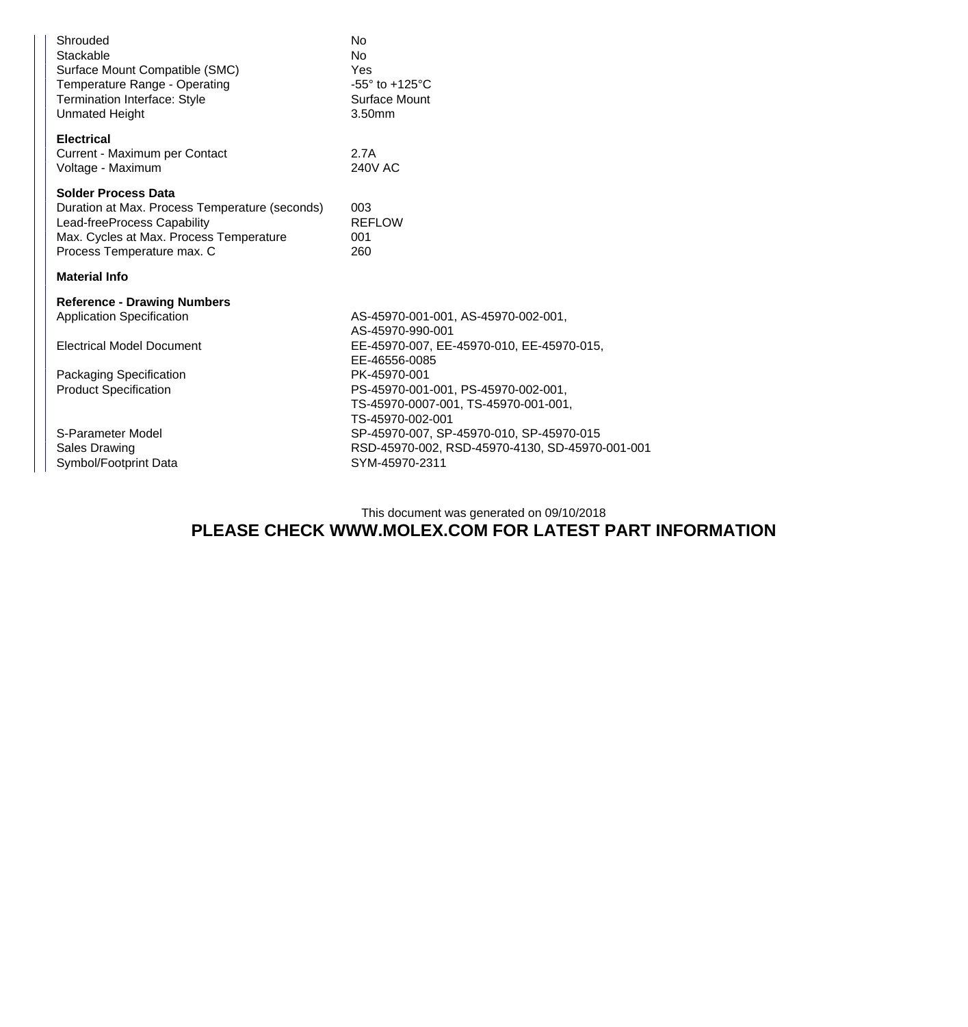| Shrouded<br>Stackable<br>Surface Mount Compatible (SMC)<br>Temperature Range - Operating<br><b>Termination Interface: Style</b><br><b>Unmated Height</b>                             | <b>No</b><br><b>No</b><br>Yes<br>$-55^\circ$ to $+125^\circ$ C<br>Surface Mount<br>3.50mm                                                                 |  |  |  |
|--------------------------------------------------------------------------------------------------------------------------------------------------------------------------------------|-----------------------------------------------------------------------------------------------------------------------------------------------------------|--|--|--|
| <b>Electrical</b><br>Current - Maximum per Contact<br>Voltage - Maximum                                                                                                              | 2.7A<br>240V AC                                                                                                                                           |  |  |  |
| <b>Solder Process Data</b><br>Duration at Max. Process Temperature (seconds)<br>Lead-freeProcess Capability<br>Max. Cycles at Max. Process Temperature<br>Process Temperature max. C | 003<br><b>REFLOW</b><br>001<br>260                                                                                                                        |  |  |  |
| <b>Material Info</b>                                                                                                                                                                 |                                                                                                                                                           |  |  |  |
| <b>Reference - Drawing Numbers</b><br><b>Application Specification</b>                                                                                                               | AS-45970-001-001, AS-45970-002-001,<br>AS-45970-990-001                                                                                                   |  |  |  |
| <b>Electrical Model Document</b><br>Packaging Specification<br><b>Product Specification</b>                                                                                          | EE-45970-007, EE-45970-010, EE-45970-015,<br>EE-46556-0085<br>PK-45970-001<br>PS-45970-001-001, PS-45970-002-001,<br>TS-45970-0007-001, TS-45970-001-001, |  |  |  |
| S-Parameter Model<br><b>Sales Drawing</b><br>Symbol/Footprint Data                                                                                                                   | TS-45970-002-001<br>SP-45970-007, SP-45970-010, SP-45970-015<br>RSD-45970-002, RSD-45970-4130, SD-45970-001-001<br>SYM-45970-2311                         |  |  |  |

## This document was generated on 09/10/2018 **PLEASE CHECK WWW.MOLEX.COM FOR LATEST PART INFORMATION**